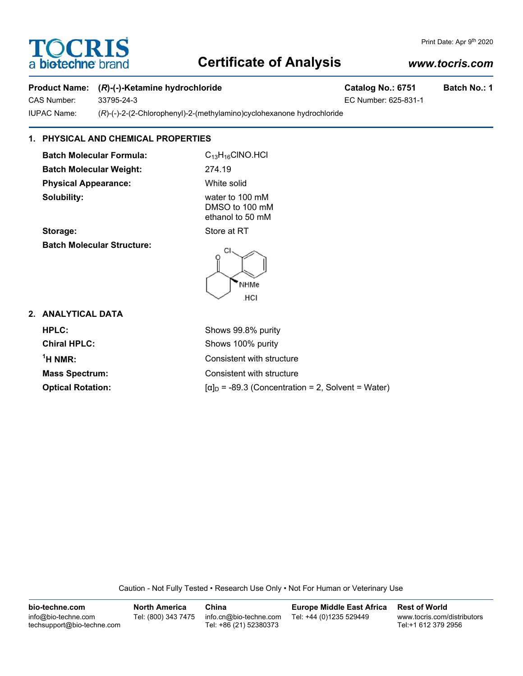# **TOCRIS** a **biotechne** br

# **Certificate of Analysis**

# *www.tocris.com*

Print Date: Apr 9th 2020

### **Product Name:** (*R*)-(-)-Ketamine hydrochloride Catalog No.: 6751 Batch No.: 1

CAS Number: 33795-24-3 EC Number: 625-831-1

IUPAC Name: (*R*)-(-)-2-(2-Chlorophenyl)-2-(methylamino)cyclohexanone hydrochloride

### **1. PHYSICAL AND CHEMICAL PROPERTIES**

**Batch Molecular Formula:** C<sub>13</sub>H<sub>16</sub>ClNO.HCl **Batch Molecular Weight:** 274.19 **Physical Appearance:** White solid **Solubility:** water to 100 mM

DMSO to 100 mM ethanol to 50 mM **Storage:** Store at RT

**Batch Molecular Structure:**



**2. ANALYTICAL DATA**

**Chiral HPLC:** Shows 100% purity  $<sup>1</sup>H NMR$ :</sup>

**HPLC:** Shows 99.8% purity Consistent with structure **Mass Spectrum:** Consistent with structure **Optical Rotation:**  $[\alpha]_D = -89.3$  (Concentration = 2, Solvent = Water)

Caution - Not Fully Tested • Research Use Only • Not For Human or Veterinary Use

**bio-techne.com** info@bio-techne.com techsupport@bio-techne.com **North America** Tel: (800) 343 7475 **China** info.cn@bio-techne.com Tel: +86 (21) 52380373 **Europe Middle East Africa** Tel: +44 (0)1235 529449 **Rest of World** www.tocris.com/distributors Tel:+1 612 379 2956